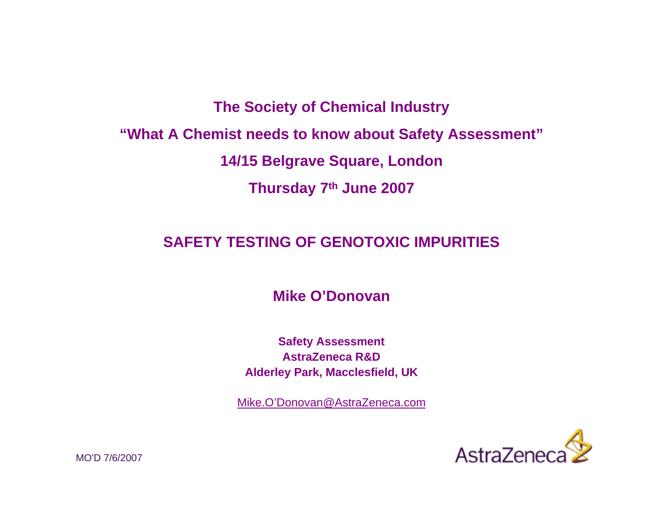**The Society of Chemical Industry "What A Chemist needs to know about Safety Assessment" 14/15 Belgrave Square, London Thursday 7th June 2007**

# **SAFETY TESTING OF GENOTOXIC IMPURITIES**

**Mike O'Donovan**

**Safety Assessment AstraZeneca R&DAlderley Park, Macclesfield, UK**

Mike.O'Donovan@AstraZeneca.com



MO'D 7/6/2007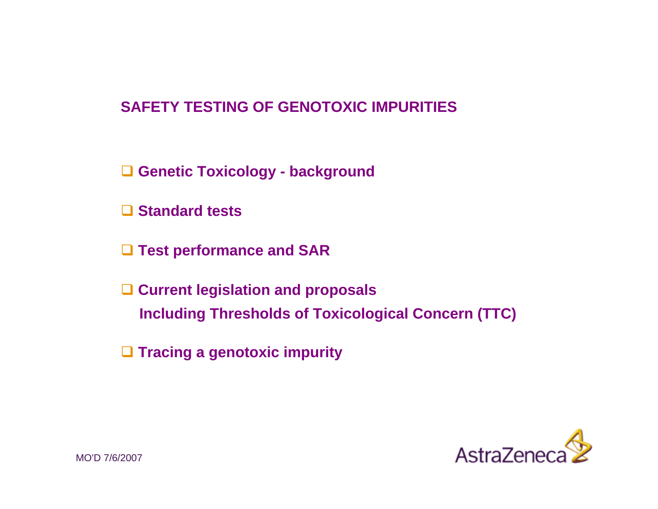# **SAFETY TESTING OF GENOTOXIC IMPURITIES**

- **Genetic Toxicology - background**
- **Standard tests**
- **Test performance and SAR**
- **Current legislation and proposals Including Thresholds of Toxicological Concern (TTC)**
- **Tracing a genotoxic impurity**

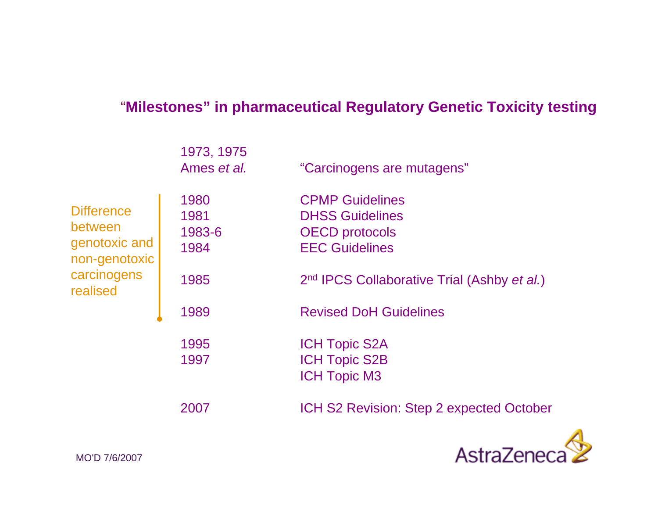# "**Milestones" in pharmaceutical Regulatory Genetic Toxicity testing**

|                                                                | 1973, 1975<br>Ames et al.      | "Carcinogens are mutagens"                                                                         |
|----------------------------------------------------------------|--------------------------------|----------------------------------------------------------------------------------------------------|
| <b>Difference</b><br>between<br>genotoxic and<br>non-genotoxic | 1980<br>1981<br>1983-6<br>1984 | <b>CPMP Guidelines</b><br><b>DHSS Guidelines</b><br><b>OECD</b> protocols<br><b>EEC Guidelines</b> |
| carcinogens<br>realised                                        | 1985                           | 2 <sup>nd</sup> IPCS Collaborative Trial (Ashby et al.)                                            |
|                                                                | 1989                           | <b>Revised DoH Guidelines</b>                                                                      |
|                                                                | 1995<br>1997                   | <b>ICH Topic S2A</b><br><b>ICH Topic S2B</b><br><b>ICH Topic M3</b>                                |
|                                                                | 2007                           | ICH S2 Revision: Step 2 expected October                                                           |

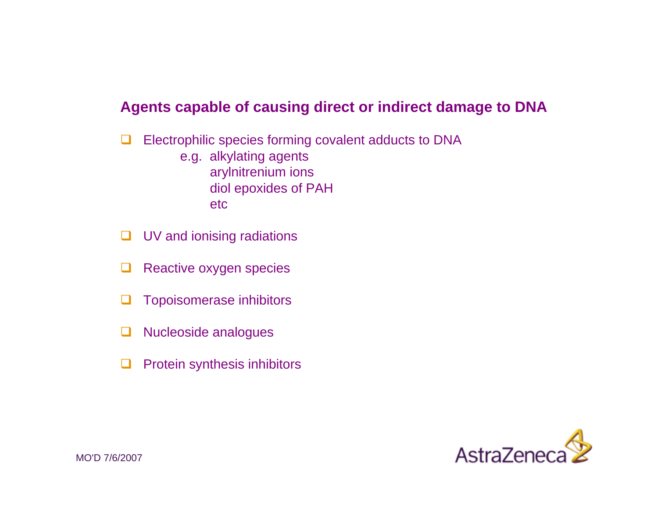### **Agents capable of causing direct or indirect damage to DNA**

- $\Box$  Electrophilic species forming covalent adducts to DNA e.g. alkylating agents arylnitrenium ions diol epoxides of PAH etc
- $\Box$ UV and ionising radiations
- ப Reactive oxygen species
- $\Box$ Topoisomerase inhibitors
- $\Box$ Nucleoside analogues
- □ Protein synthesis inhibitors

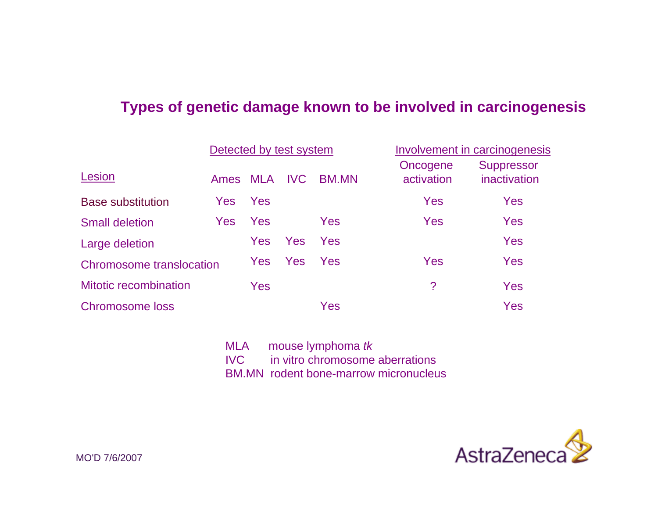### **Types of genetic damage known to be involved in carcinogenesis**

|                              | Detected by test system |     | Involvement in carcinogenesis |              |                        |                                   |
|------------------------------|-------------------------|-----|-------------------------------|--------------|------------------------|-----------------------------------|
| Lesion                       | Ames MLA                |     | <b>IVC</b>                    | <b>BM.MN</b> | Oncogene<br>activation | <b>Suppressor</b><br>inactivation |
| <b>Base substitution</b>     | <b>Yes</b>              | Yes |                               |              | Yes                    | Yes                               |
| <b>Small deletion</b>        | <b>Yes</b>              | Yes |                               | Yes          | Yes                    | Yes                               |
| Large deletion               |                         | Yes | <b>Yes</b>                    | Yes          |                        | Yes                               |
| Chromosome translocation     |                         | Yes | <b>Yes</b>                    | Yes          | Yes                    | Yes                               |
| <b>Mitotic recombination</b> |                         | Yes |                               |              | ?                      | Yes                               |
| <b>Chromosome loss</b>       |                         |     |                               | Yes          |                        | Yes                               |

MLA mouse lymphoma *tk*  IVC in vitro chromosome aberrations BM.MN rodent bone-marrow micronucleus

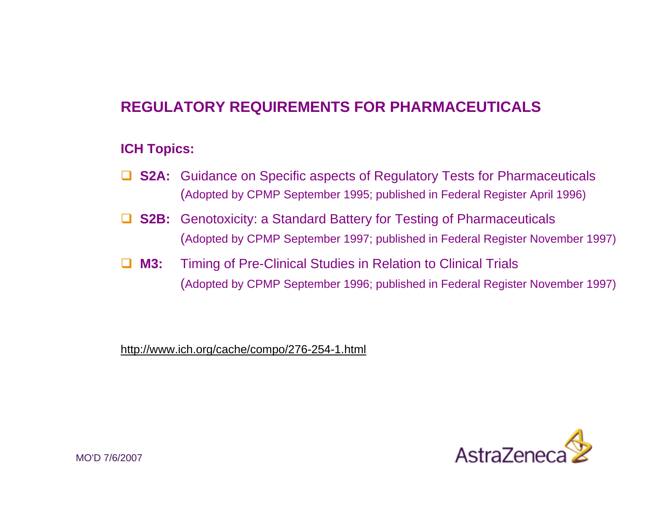# **REGULATORY REQUIREMENTS FOR PHARMACEUTICALS**

#### **ICH Topics:**

- **□ S2A:** Guidance on Specific aspects of Regulatory Tests for Pharmaceuticals (Adopted by CPMP September 1995; published in Federal Register April 1996)
- $\Box$ **S2B:** Genotoxicity: a Standard Battery for Testing of Pharmaceuticals (Adopted by CPMP September 1997; published in Federal Register November 1997)
- $\Box$  **M3:** Timing of Pre-Clinical Studies in Relation to Clinical Trials (Adopted by CPMP September 1996; published in Federal Register November 1997)

http://www.ich.org/cache/compo/276-254-1.html

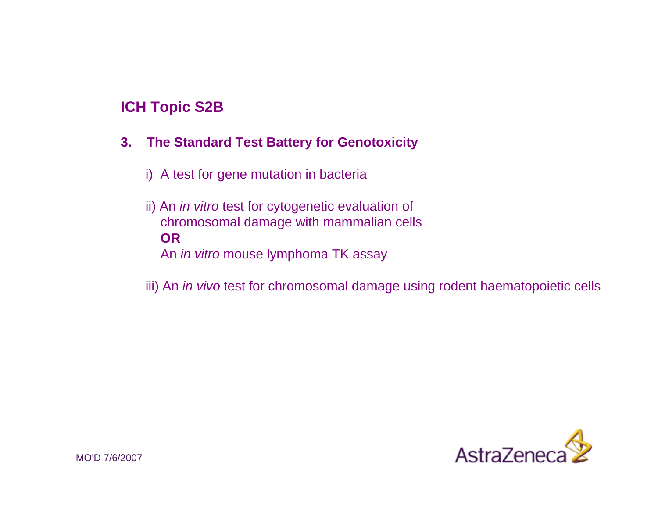### **ICH Topic S2B**

#### **3. The Standard Test Battery for Genotoxicity**

- i) A test for gene mutation in bacteria
- ii) An *in vitro* test for cytogenetic evaluation of chromosomal damage with mammalian cells **OR**An *in vitro* mouse lymphoma TK assay
- iii) An *in vivo* test for chromosomal damage using rodent haematopoietic cells

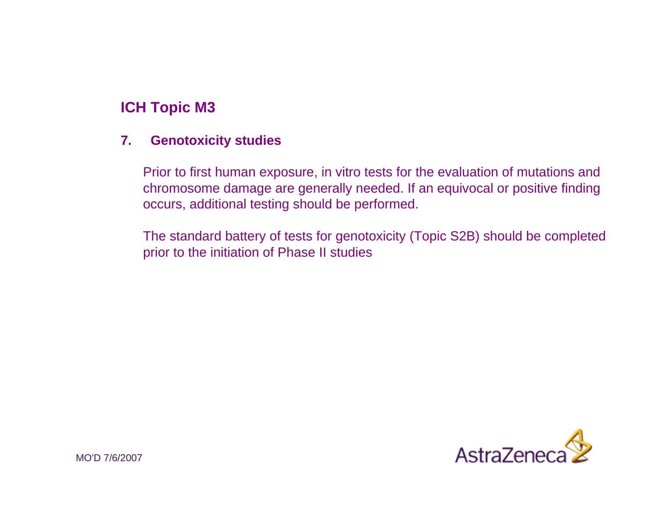## **ICH Topic M3**

#### **7. Genotoxicity studies**

Prior to first human exposure, in vitro tests for the evaluation of mutations and chromosome damage are generally needed. If an equivocal or positive finding occurs, additional testing should be performed.

The standard battery of tests for genotoxicity (Topic S2B) should be completed prior to the initiation of Phase II studies

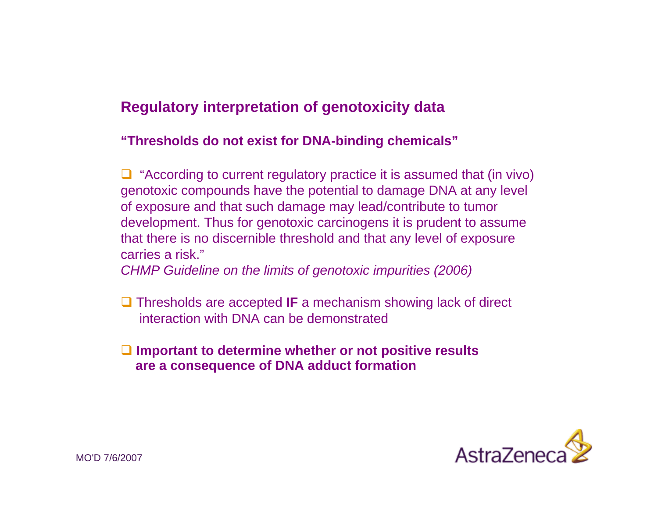# **Regulatory interpretation of genotoxicity data**

#### **"Thresholds do not exist for DNA-binding chemicals"**

 $\Box$  "According to current regulatory practice it is assumed that (in vivo) genotoxic compounds have the potential to damage DNA at any level of exposure and that such damage may lead/contribute to tumor development. Thus for genotoxic carcinogens it is prudent to assume that there is no discernible threshold and that any level of exposure carries a risk."

*CHMP Guideline on the limits of genotoxic impurities (2006)*

- **□** Thresholds are accepted **IF** a mechanism showing lack of direct interaction with DNA can be demonstrated
- **Important to determine whether or not positive results are a consequence of DNA adduct formation**

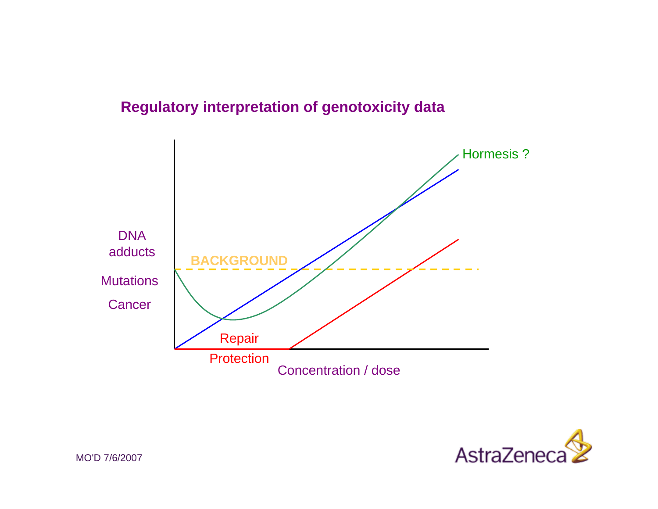# **Regulatory interpretation of genotoxicity data**



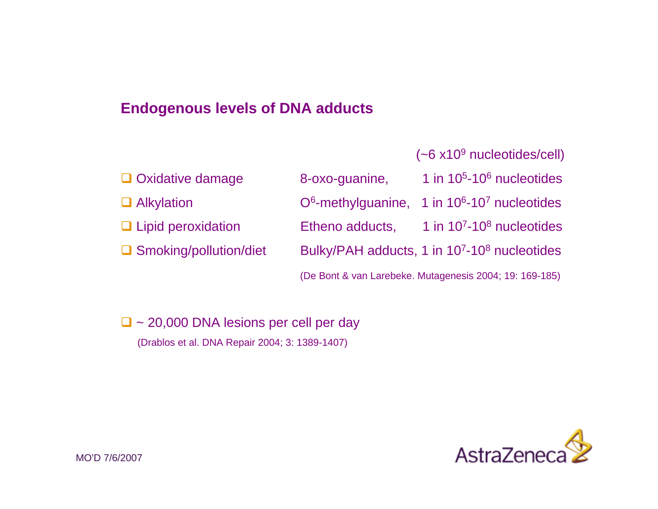### **Endogenous levels of DNA adducts**

(~6 x109 nucleotides/cell)

| $\Box$ Oxidative damage       | 8-oxo-guanine,  | 1 in $105 - 106$ nucleotides                                           |
|-------------------------------|-----------------|------------------------------------------------------------------------|
| $\Box$ Alkylation             |                 | $O6$ -methylguanine, 1 in 10 <sup>6</sup> -10 <sup>7</sup> nucleotides |
| $\Box$ Lipid peroxidation     | Etheno adducts, | 1 in $107 - 108$ nucleotides                                           |
| $\Box$ Smoking/pollution/diet |                 | Bulky/PAH adducts, 1 in 10 <sup>7</sup> -10 <sup>8</sup> nucleotides   |
|                               |                 | (De Bont & van Larebeke. Mutagenesis 2004; 19: 169-185)                |

 $\Box$  ~ 20,000 DNA lesions per cell per day (Drablos et al. DNA Repair 2004; 3: 1389-1407)

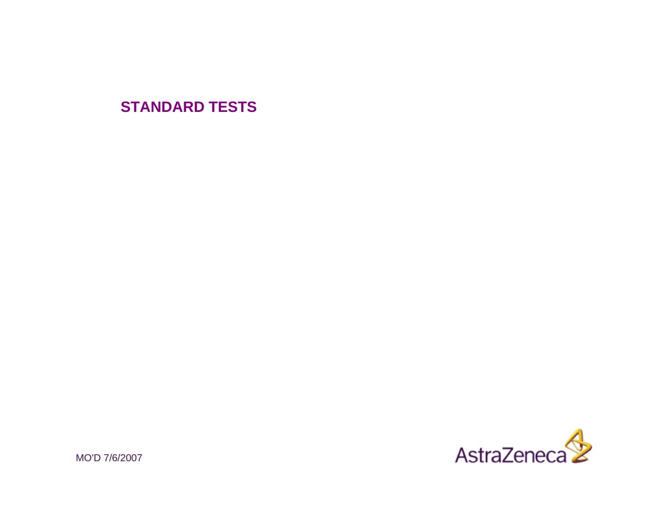# **STANDARD TESTS**



MO'D 7/6/2007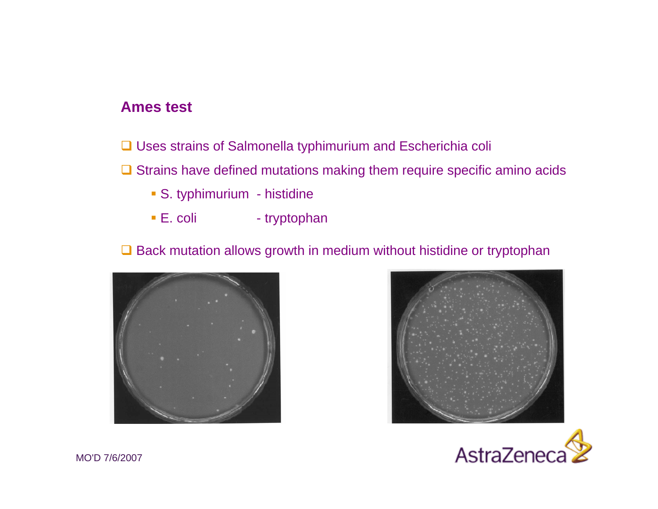- **□ Uses strains of Salmonella typhimurium and Escherichia coli**
- $\Box$  Strains have defined mutations making them require specific amino acids
	- S. typhimurium histidine
	- E. coli tryptophan

#### $\Box$  Back mutation allows growth in medium without histidine or tryptophan





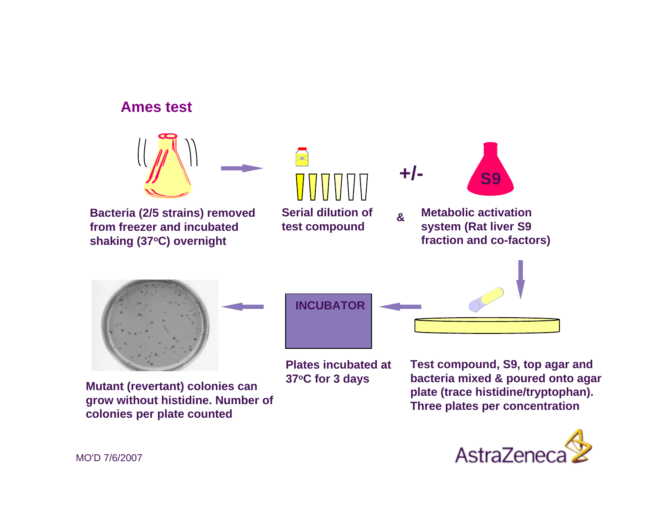

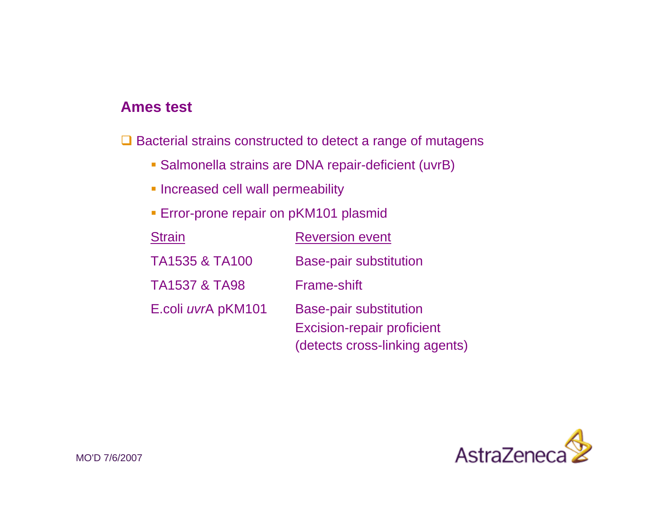$\Box$  Bacterial strains constructed to detect a range of mutagens

- Salmonella strains are DNA repair-deficient (uvrB)
- **Increased cell wall permeability**
- **Error-prone repair on pKM101 plasmid**

| <b>Strain</b>             | <b>Reversion event</b>                                                                               |
|---------------------------|------------------------------------------------------------------------------------------------------|
| <b>TA1535 &amp; TA100</b> | <b>Base-pair substitution</b>                                                                        |
| <b>TA1537 &amp; TA98</b>  | <b>Frame-shift</b>                                                                                   |
| E.coli uvrA pKM101        | <b>Base-pair substitution</b><br><b>Excision-repair proficient</b><br>(detects cross-linking agents) |

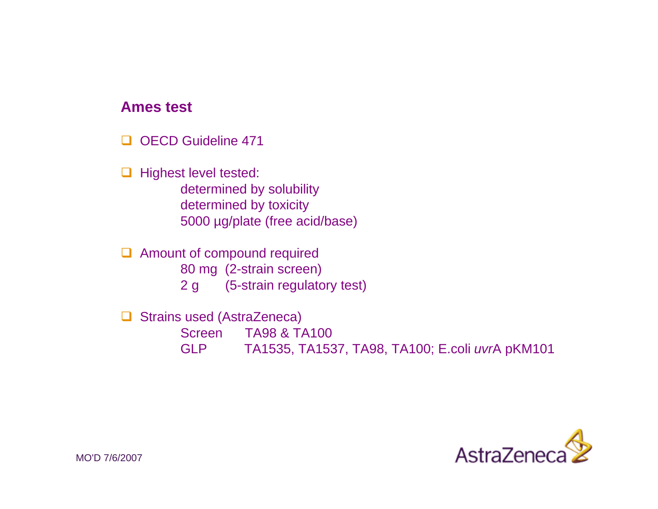$\Box$ OECD Guideline 471

□ Highest level tested: determined by solubility determined by toxicity 5000 µg/plate (free acid/base)

**Amount of compound required** 80 mg (2-strain screen) 2 g (5-strain regulatory test)

 $\Box$  Strains used (AstraZeneca) Screen TA98 & TA100 GLP TA1535, TA1537, TA98, TA100; E.coli *uvr*A pKM101

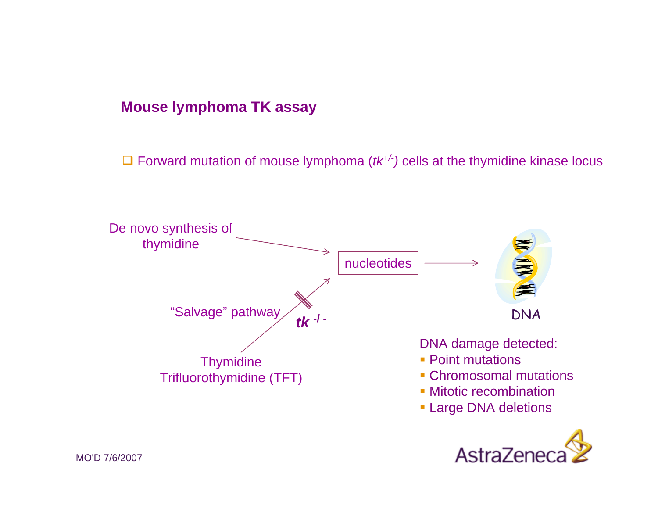### **Mouse lymphoma TK assay**

□ Forward mutation of mouse lymphoma ( $tk$ <sup>+/-</sup>) cells at the thymidine kinase locus

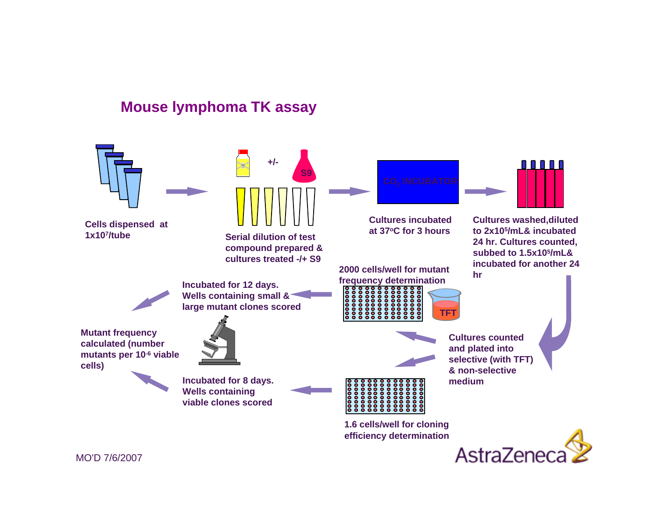# **Mouse lymphoma TK assay**



**Cells dispensed at 1x107/tube**



 **Serial dilution of test compound prepared & cultures treated -/+ S9**



**Cultures incubated at 37oC for 3 hours**

**2000 cells/well for mutantfrequency determination Incubated for 12 days.**



**Cultures washed,diluted to 2x105/mL& incubated 24 hr. Cultures counted, subbed to 1.5x105/mL& incubated for another 24 hr**



**Wells containing small & large mutant clones scored**

**Mutant frequency calculated (number mutants per 10-6 viable cells)**





**Incubated for 8 days. Wells containing viable clones scored** 



**1.6 cells/well for cloning efficiency determination**



**TFT**

AstraZenec

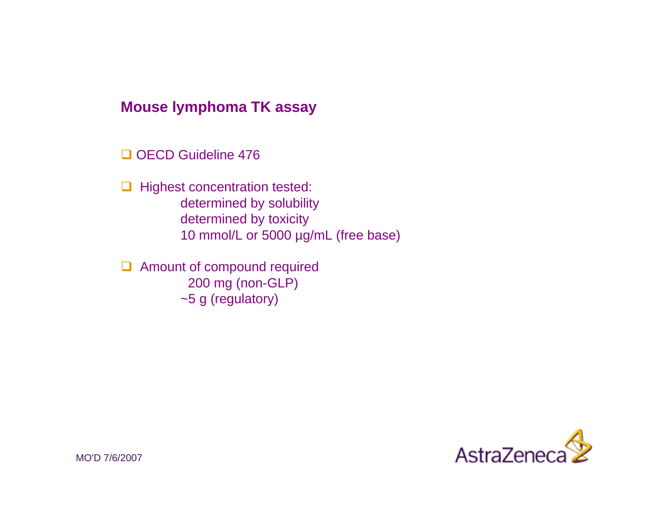#### **Mouse lymphoma TK assay**

OECD Guideline 476

 $\Box$  Highest concentration tested: determined by solubility determined by toxicity 10 mmol/L or 5000 µg/mL (free base)

 $\Box$  Amount of compound required 200 mg (non-GLP) ~5 g (regulatory)

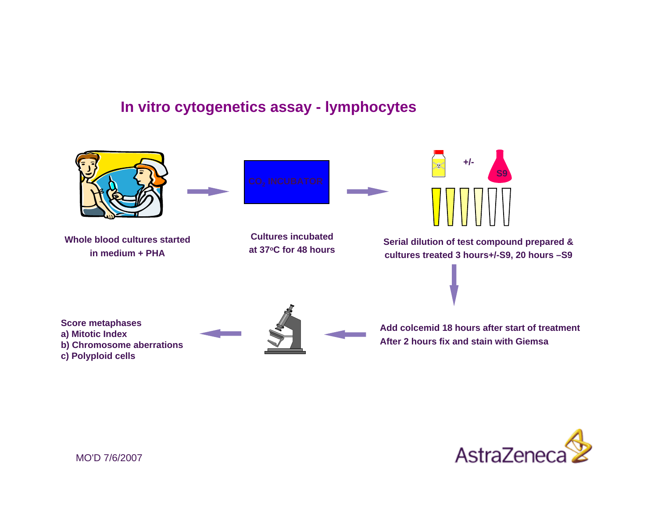### **In vitro cytogenetics assay - lymphocytes**



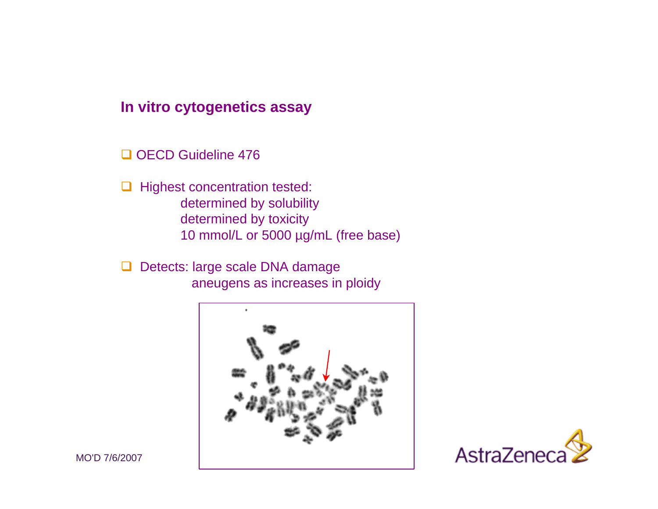#### **In vitro cytogenetics assay**

OECD Guideline 476

 $\Box$  Highest concentration tested: determined by solubility determined by toxicity 10 mmol/L or 5000 µg/mL (free base)

□ Detects: large scale DNA damage aneugens as increases in ploidy



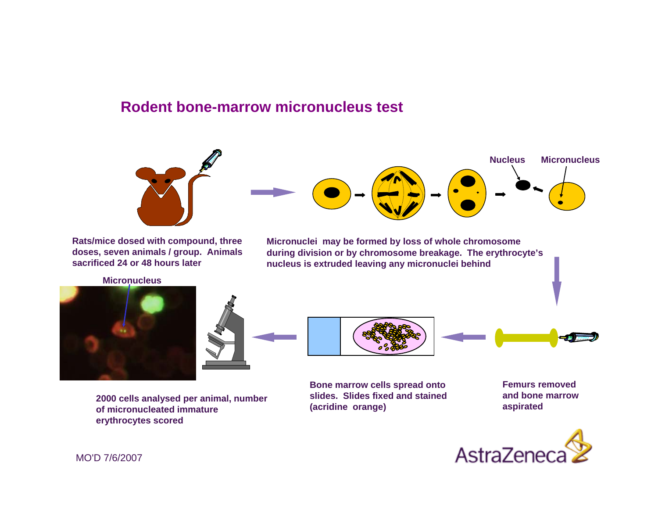#### **Rodent bone-marrow micronucleus test**



**Rats/mice dosed with compound, three doses, seven animals / group. Animals sacrificed 24 or 48 hours later**

**Micronucleus**





**(acridine orange) 2000 cells analysed per animal, number of micronucleated immature erythrocytes scored**

**Micronuclei may be formed by loss of whole chromosome during division or by chromosome breakage. The erythrocyte's nucleus is extruded leaving any micronuclei behind**



**Bone marrow cells spread onto slides. Slides fixed and stained** 

**Femurs removed and bone marrow aspirated** 

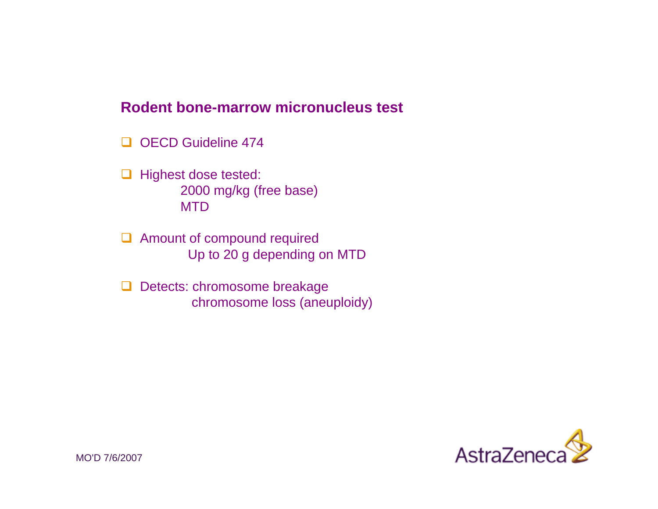#### **Rodent bone-marrow micronucleus test**

- $\Box$ OECD Guideline 474
- $\Box$  Highest dose tested: 2000 mg/kg (free base) MTD
- **Amount of compound required** Up to 20 g depending on MTD
- Detects: chromosome breakage chromosome loss (aneuploidy)

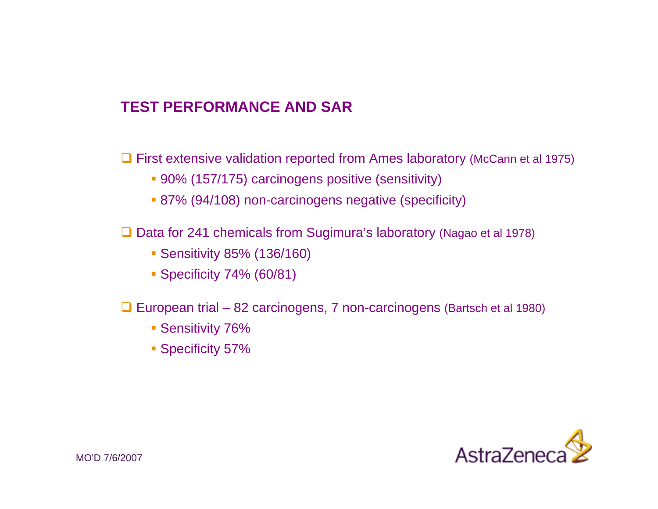## **TEST PERFORMANCE AND SAR**

**□ First extensive validation reported from Ames laboratory (McCann et al 1975)** 

- 90% (157/175) carcinogens positive (sensitivity)
- 87% (94/108) non-carcinogens negative (specificity)

□ Data for 241 chemicals from Sugimura's laboratory (Nagao et al 1978)

- Sensitivity 85% (136/160)
- Specificity 74% (60/81)

□ European trial – 82 carcinogens, 7 non-carcinogens (Bartsch et al 1980)

- **Sensitivity 76%**
- **Specificity 57%**

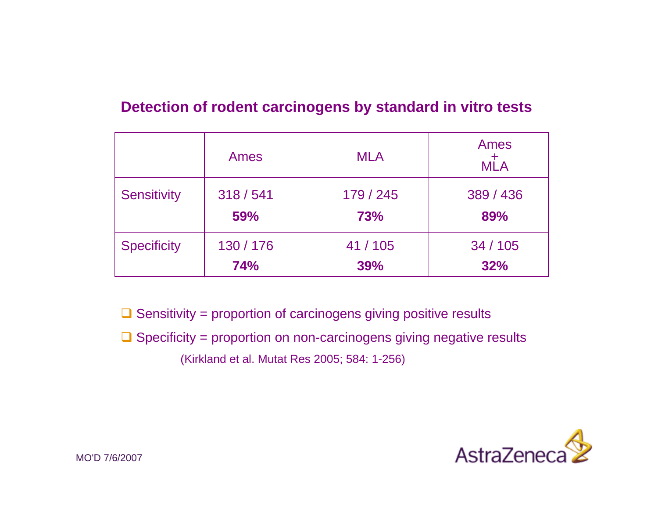## **Detection of rodent carcinogens by standard in vitro tests**

|                    | Ames       | <b>MLA</b> | Ames<br>$M+A$ |
|--------------------|------------|------------|---------------|
| <b>Sensitivity</b> | 318 / 541  | 179 / 245  | 389 / 436     |
|                    | 59%        | <b>73%</b> | 89%           |
| <b>Specificity</b> | 130 / 176  | 41/105     | 34 / 105      |
|                    | <b>74%</b> | 39%        | 32%           |

 $\Box$  Sensitivity = proportion of carcinogens giving positive results

 $\Box$  Specificity = proportion on non-carcinogens giving negative results (Kirkland et al. Mutat Res 2005; 584: 1-256)

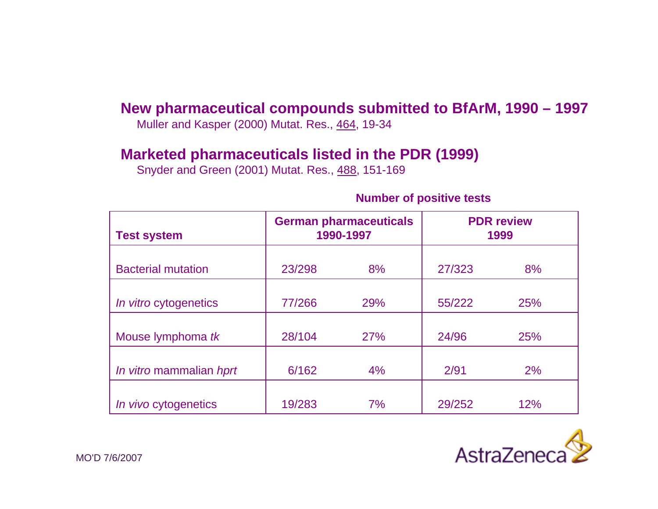### **New pharmaceutical compounds submitted to BfArM, 1990 – 1997**

Muller and Kasper (2000) Mutat. Res., 464, 19-34

#### **Marketed pharmaceuticals listed in the PDR (1999)**

Snyder and Green (2001) Mutat. Res., 488, 151-169

#### **Number of positive tests**

| <b>Test system</b>           |        | <b>German pharmaceuticals</b><br>1990-1997 |        | <b>PDR</b> review<br>1999 |
|------------------------------|--------|--------------------------------------------|--------|---------------------------|
| <b>Bacterial mutation</b>    | 23/298 | 8%                                         | 27/323 | 8%                        |
| <i>In vitro</i> cytogenetics | 77/266 | 29%                                        | 55/222 | <b>25%</b>                |
| Mouse lymphoma tk            | 28/104 | 27%                                        | 24/96  | 25%                       |
| In vitro mammalian hprt      | 6/162  | 4%                                         | 2/91   | 2%                        |
| In vivo cytogenetics         | 19/283 | 7%                                         | 29/252 | 12%                       |

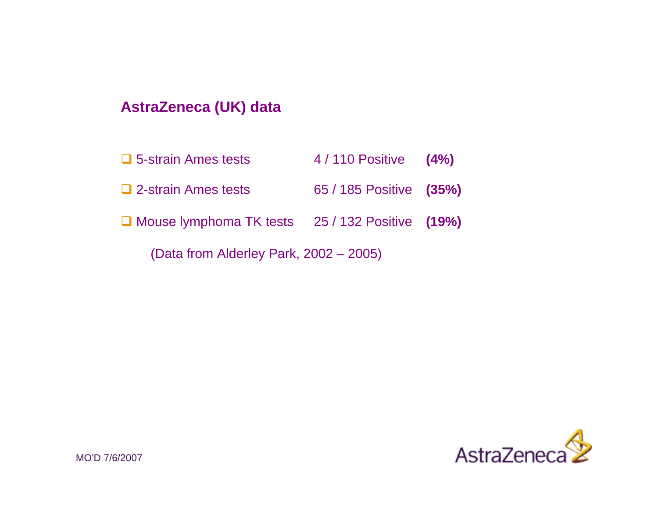# **AstraZeneca (UK) data**

| $\Box$ 5-strain Ames tests                        | $4/110$ Positive $(4%)$ |  |
|---------------------------------------------------|-------------------------|--|
| $\Box$ 2-strain Ames tests                        | 65 / 185 Positive (35%) |  |
| □ Mouse lymphoma TK tests 25 / 132 Positive (19%) |                         |  |
| (Data from Alderley Park, 2002 – 2005)            |                         |  |

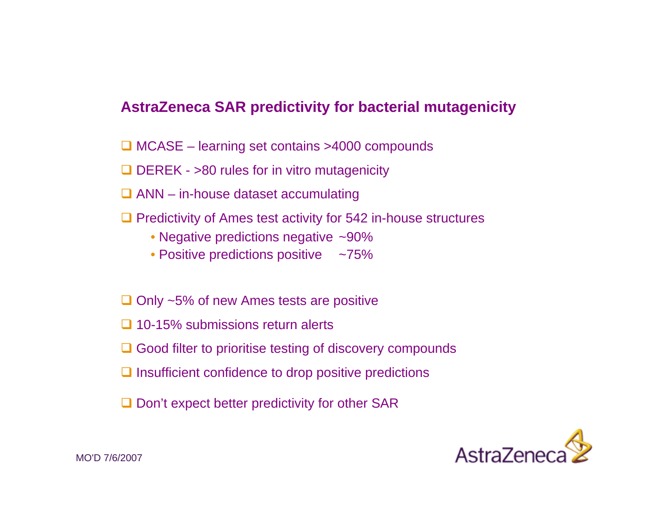### **AstraZeneca SAR predictivity for bacterial mutagenicity**

- □ MCASE learning set contains >4000 compounds
- $\Box$  DEREK >80 rules for in vitro mutagenicity
- $\Box$  ANN in-house dataset accumulating
- $\Box$  Predictivity of Ames test activity for 542 in-house structures
	- Negative predictions negative ~90%
	- Positive predictions positive ~75%
- $\Box$  Only ~5% of new Ames tests are positive
- □ 10-15% submissions return alerts
- **□ Good filter to prioritise testing of discovery compounds**
- $\Box$  Insufficient confidence to drop positive predictions
- $\square$  Don't expect better predictivity for other SAR

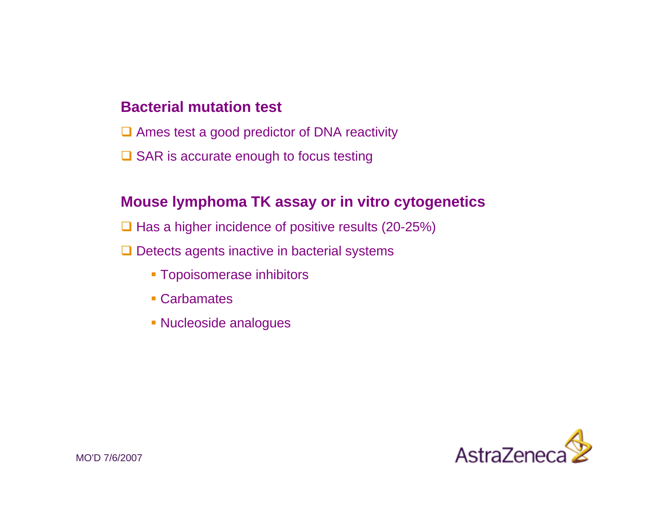### **Bacterial mutation test**

- **□** Ames test a good predictor of DNA reactivity
- **□ SAR is accurate enough to focus testing**

#### **Mouse lymphoma TK assay or in vitro cytogenetics**

- $\Box$  Has a higher incidence of positive results (20-25%)
- $\Box$  Detects agents inactive in bacterial systems
	- Topoisomerase inhibitors
	- Carbamates
	- Nucleoside analogues

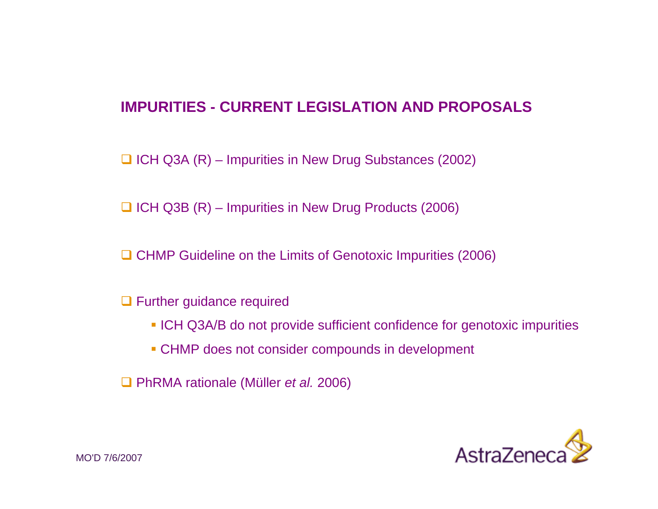## **IMPURITIES - CURRENT LEGISLATION AND PROPOSALS**

 $\Box$  ICH Q3A (R) – Impurities in New Drug Substances (2002)

 $\Box$  ICH Q3B (R) – Impurities in New Drug Products (2006)

**□ CHMP Guideline on the Limits of Genotoxic Impurities (2006)** 

- **Q** Further guidance required
	- **ICH Q3A/B do not provide sufficient confidence for genotoxic impurities**
	- CHMP does not consider compounds in development

PhRMA rationale (Müller *et al.* 2006)

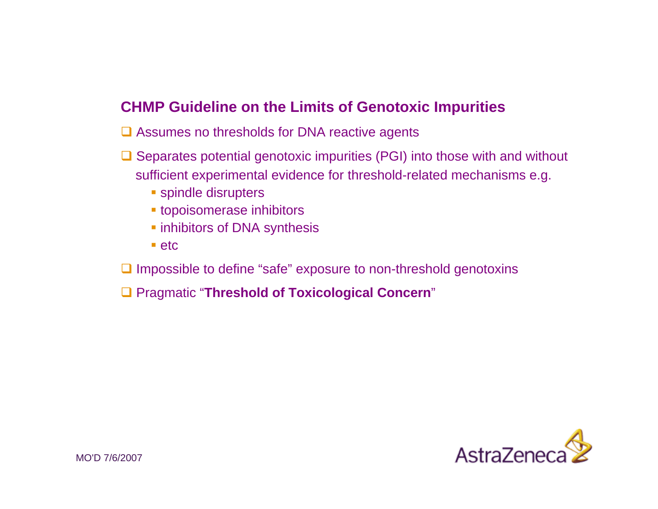## **CHMP Guideline on the Limits of Genotoxic Impurities**

- **□ Assumes no thresholds for DNA reactive agents**
- $\Box$  Separates potential genotoxic impurities (PGI) into those with and without sufficient experimental evidence for threshold-related mechanisms e.g.
	- **spindle disrupters**
	- topoisomerase inhibitors
	- **Example inhibitors of DNA synthesis**
	- $\blacksquare$ etc
- $\Box$  Impossible to define "safe" exposure to non-threshold genotoxins
- Pragmatic "**Threshold of Toxicological Concern**"

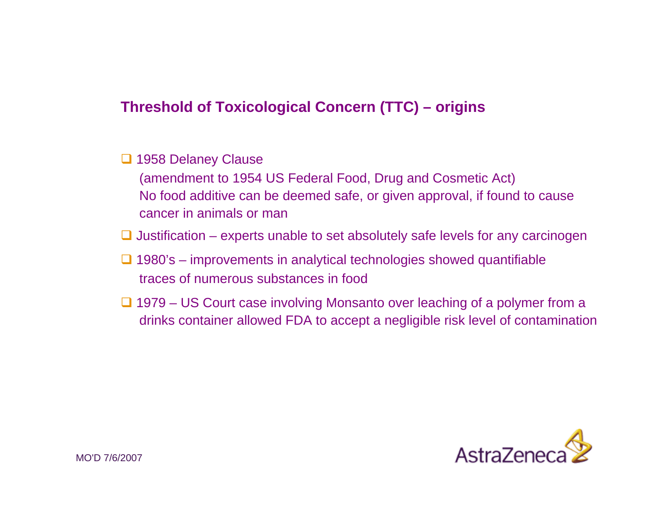# **Threshold of Toxicological Concern (TTC) – origins**

#### □ 1958 Delaney Clause

(amendment to 1954 US Federal Food, Drug and Cosmetic Act) No food additive can be deemed safe, or given approval, if found to cause cancer in animals or man

 $\Box$  Justification – experts unable to set absolutely safe levels for any carcinogen

- $\Box$  1980's improvements in analytical technologies showed quantifiable traces of numerous substances in food
- **□ 1979 US Court case involving Monsanto over leaching of a polymer from a** drinks container allowed FDA to accept a negligible risk level of contamination

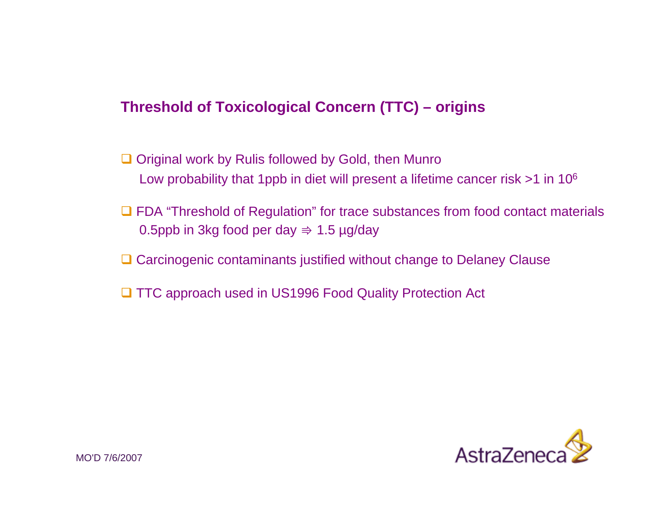# **Threshold of Toxicological Concern (TTC) – origins**

- **□** Original work by Rulis followed by Gold, then Munro Low probability that 1ppb in diet will present a lifetime cancer risk >1 in 10<sup>6</sup>
- **□ FDA "Threshold of Regulation" for trace substances from food contact materials** 0.5ppb in 3kg food per day  $\Rightarrow$  1.5 µg/day
- **□ Carcinogenic contaminants justified without change to Delaney Clause**
- **□ TTC approach used in US1996 Food Quality Protection Act**

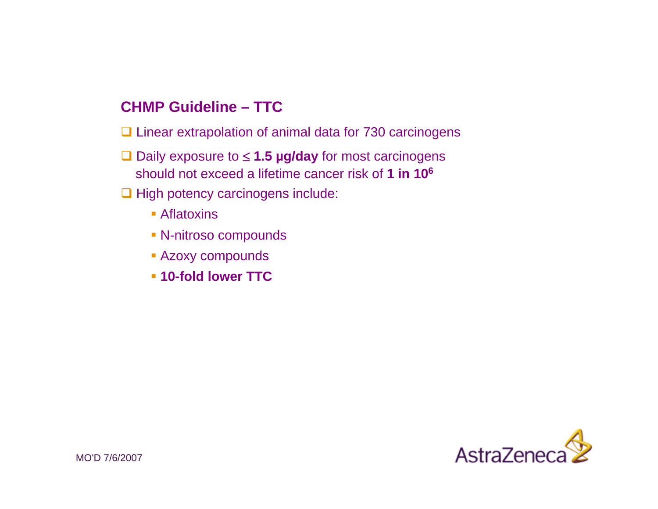## **CHMP Guideline – TTC**

**□ Linear extrapolation of animal data for 730 carcinogens** 

- Daily exposure to <sup>≤</sup> **1.5 µg/day** for most carcinogens should not exceed a lifetime cancer risk of **1 in 106**
- $\Box$  High potency carcinogens include:
	- **Aflatoxins**
	- N-nitroso compounds
	- **Azoxy compounds**
	- **10-fold lower TTC**

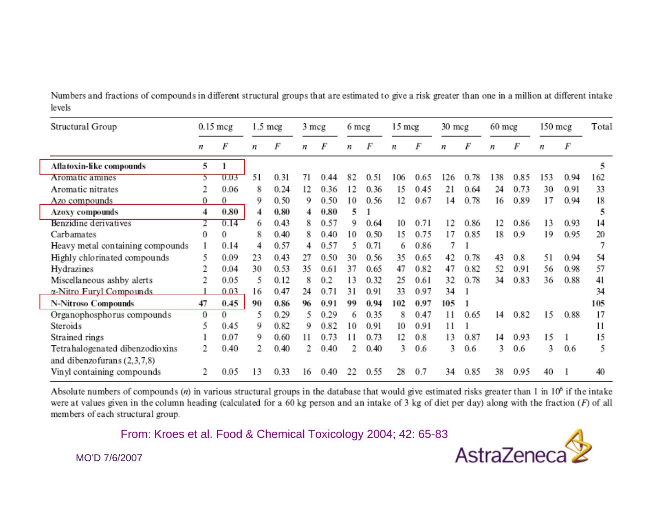Numbers and fractions of compounds in different structural groups that are estimated to give a risk greater than one in a million at different intake levels

| Structural Group                 |          | 0.15 mcg |    | 1.5 mcg | 3 mcg |         | 6 mcg |      | 15 mcg |      | 30 mcg |      | $60$ mcg |      | 150 mcg |      | Total |
|----------------------------------|----------|----------|----|---------|-------|---------|-------|------|--------|------|--------|------|----------|------|---------|------|-------|
|                                  | n        | F        | n  | F       | n     | F       | n     | F    | n      | F    | n      | F    | n        | F    | n       | F    |       |
| Aflatoxin-like compounds         | 5        |          |    |         |       |         |       |      |        |      |        |      |          |      |         |      | 5     |
| Aromatic amines                  | 5.       | 0.03     | 51 | 0.31    | 71    | 44<br>0 | 82    | 0.51 | 106    | 0.65 | 126    | 0.78 | 138      | 0.85 | 153     | 0.94 | 162   |
| Aromatic nitrates                |          | 0.06     | 8  | 0.24    | 12    | 0.36    | 12    | 0.36 | 15     | 0.45 | 21     | 0.64 | 24       | 0.73 | 30      | 0.91 | 33    |
| Azo compounds                    | 0        | 0        | 9  | 0.50    | 9     | 0.50    | 10    | 0.56 | 12     | 0.67 | 14     | 0.78 | 16       | 0.89 | 17      | 0.94 | 18    |
| Azoxy compounds                  | 4        | 0.80     | 4  | 0.80    | 4     | 0.80    | 5     |      |        |      |        |      |          |      |         |      | 5     |
| Benzidine derivatives            |          | 0.14     | 6  | 0.43    |       | 0.57    | 9     | 0.64 | 10     | 0.71 | 12     | 0.86 | 12       | 0.86 | 13      | 0.93 | 14    |
| Carbamates                       | 0        | $\theta$ | 8  | 0.40    |       | 0.40    | 10    | 0.50 | 15     | 0.75 | 17     | 0.85 | 18       | 0.9  | 19      | 0.95 | 20    |
| Heavy metal containing compounds |          | 0.14     | 4  | 0.57    | 4     | 0.57    |       | 0.71 | 6      | 0.86 |        |      |          |      |         |      |       |
| Highly chlorinated compounds     | 5        | 0.09     | 23 | 0.43    | 27    | 0.50    | 30    | 0.56 | 35     | 0.65 | 42     | 0.78 | 43       | 0.8  | 51      | 0.94 | 54    |
| Hydrazines                       |          | 0.04     | 30 | 0.53    | 35    | 0.61    | 37    | 0.65 | 47     | 0.82 | 47     | 0.82 | 52       | 0.91 | 56      | 0.98 | 57    |
| Miscellaneous ashby alerts       |          | 0.05     | 5  | 0.12    |       | 0.2     | 13    | 0.32 | 25     | 0.61 | 32     | 0.78 | 34       | 0.83 | 36      | 0.88 | 41    |
| $\alpha$ -Nitro Furyl Compounds  |          | 0.03     | 16 | 0.47    | 24    | 0.71    | 31    | 0.91 | 33     | 0.97 | 34     |      |          |      |         |      | 34    |
| N-Nitroso Compounds              | 47       | 0.45     | 90 | 0.86    | 96    | 0.91    | 99    | 0.94 | 102    | 0.97 | 105    |      |          |      |         |      | 105   |
| Organophosphorus compounds       | $\Omega$ | $\Omega$ | 5  | 0.29    | 5     | 0.29    | 6     | 0.35 | 8      | 0.47 | 11     | 0.65 | 14       | 0.82 | 15      | 0.88 | 17    |
| Steroids                         | 5        | 0.45     | 9  | 0.82    | 9     | 0.82    | 10    | 0.91 | 10     | 0.91 | 11     |      |          |      |         |      | 11    |
| Strained rings                   |          | 0.07     | 9  | 0.60    | 11    | 0.73    |       | 0.73 | 12     | 0.8  | 13     | 0.87 | 14       | 0.93 | 15      |      | 15    |
| Tetrahalogenated dibenzodioxins  |          | 0.40     | 2  | 0.40    |       | 0.40    |       | 0.40 | 3      | 0.6  | 3      | 0.6  | 3        | 0.6  | 3       | 0.6  | 5     |
| and dibenzo furans $(2,3,7,8)$   |          |          |    |         |       |         |       |      |        |      |        |      |          |      |         |      |       |
| Vinyl containing compounds       |          | 0.05     | 13 | 0.33    | 16    | 0.40    | 22    | 0.55 | 28     | 0.7  | 34     | 0.85 | 38       | 0.95 | 40      |      | 40    |

Absolute numbers of compounds (n) in various structural groups in the database that would give estimated risks greater than 1 in  $10^6$  if the intake were at values given in the column heading (calculated for a 60 kg person and an intake of 3 kg of diet per day) along with the fraction  $(F)$  of all members of each structural group.

From: Kroes et al. Food & Chemical Toxicology 2004; 42: 65-83



MO'D 7/6/2007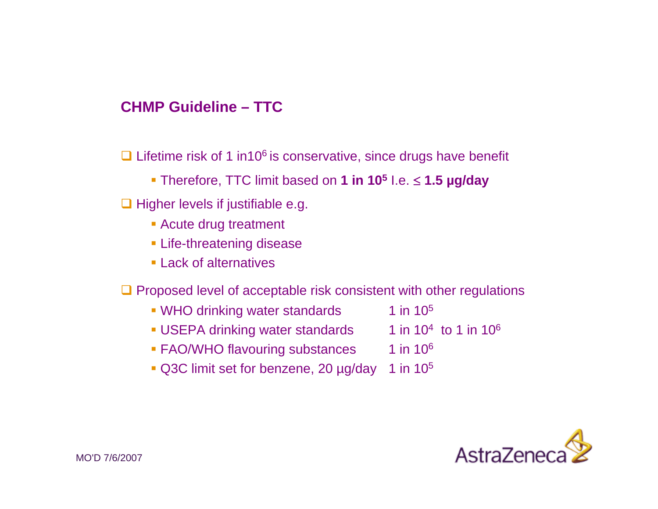#### **CHMP Guideline – TTC**

 $\Box$  Lifetime risk of 1 in10<sup>6</sup> is conservative, since drugs have benefit

- Therefore, TTC limit based on **1 in 10<sup>5</sup>** I.e. <sup>≤</sup> **1.5 µg/day**
- $\Box$  Higher levels if justifiable e.g.
	- Acute drug treatment
	- **Example 2 Life-threatening disease**
	- **Lack of alternatives**
- $\Box$  Proposed level of acceptable risk consistent with other regulations
	- $\bullet$  WHO drinking water standards  $1$  in 10<sup>5</sup>
	- USEPA drinking water standards  $1$  in 10<sup>4</sup> to 1 in 10<sup>6</sup>
	- FAO/WHO flavouring substances 1 in 10<sup>6</sup>
	- $\bullet$  Q3C limit set for benzene, 20 µg/day 1 in 10<sup>5</sup>
- 
- 
- 

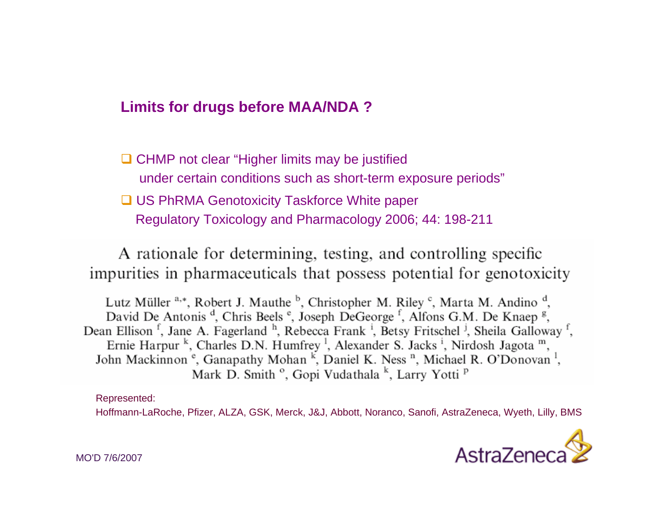### **Limits for drugs before MAA/NDA ?**

**□ CHMP not clear "Higher limits may be justified** under certain conditions such as short-term exposure periods" **□ US PhRMA Genotoxicity Taskforce White paper** Regulatory Toxicology and Pharmacology 2006; 44: 198-211

A rationale for determining, testing, and controlling specific impurities in pharmaceuticals that possess potential for genotoxicity

Lutz Müller <sup>a,\*</sup>, Robert J. Mauthe <sup>b</sup>, Christopher M. Riley <sup>c</sup>, Marta M. Andino <sup>d</sup>, David De Antonis<sup>d</sup>, Chris Beels<sup>e</sup>, Joseph DeGeorge<sup>f</sup>, Alfons G.M. De Knaep<sup>g</sup>, Dean Ellison<sup>f</sup>, Jane A. Fagerland<sup>h</sup>, Rebecca Frank<sup>i</sup>, Betsy Fritschel<sup>j</sup>, Sheila Galloway<sup>f</sup>, Ernie Harpur <sup>k</sup>, Charles D.N. Humfrey <sup>1</sup>, Alexander S. Jacks <sup>i</sup>, Nirdosh Jagota  $<sup>m</sup>$ ,</sup> John Mackinnon<sup>e</sup>, Ganapathy Mohan<sup>k</sup>, Daniel K. Ness<sup>n</sup>, Michael R. O'Donovan<sup>1</sup>, Mark D. Smith<sup>o</sup>, Gopi Vudathala<sup>k</sup>, Larry Yotti<sup>p</sup>

Represented:

Hoffmann-LaRoche, Pfizer, ALZA, GSK, Merck, J&J, Abbott, Noranco, Sanofi, AstraZeneca, Wyeth, Lilly, BMS

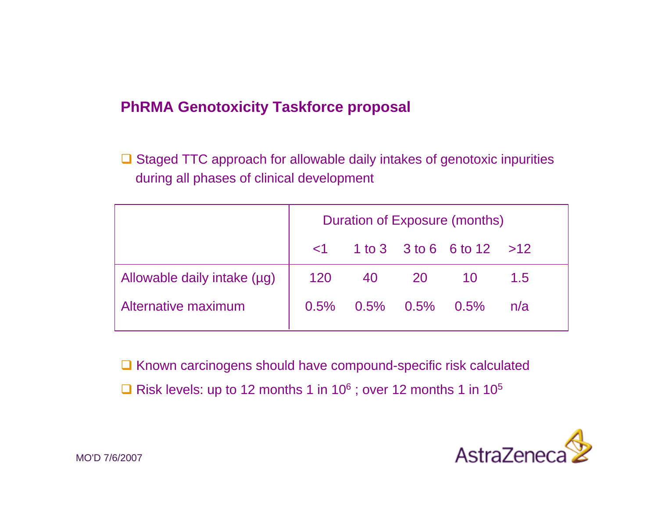### **PhRMA Genotoxicity Taskforce proposal**

 $\Box$  Staged TTC approach for allowable daily intakes of genotoxic inpurities during all phases of clinical development

|                             | Duration of Exposure (months) |                   |       |                                |     |  |  |
|-----------------------------|-------------------------------|-------------------|-------|--------------------------------|-----|--|--|
|                             |                               |                   |       | $1$ 1 to 3 3 to 6 6 to 12 > 12 |     |  |  |
| Allowable daily intake (µg) | 120                           |                   | 40 20 | <b>10</b>                      | 1.5 |  |  |
| Alternative maximum         | $0.5\%$                       | $0.5\%$ 0.5% 0.5% |       |                                | n/a |  |  |

 $\Box$  Known carcinogens should have compound-specific risk calculated  $\Box$  Risk levels: up to 12 months 1 in 10<sup>6</sup>; over 12 months 1 in 10<sup>5</sup>

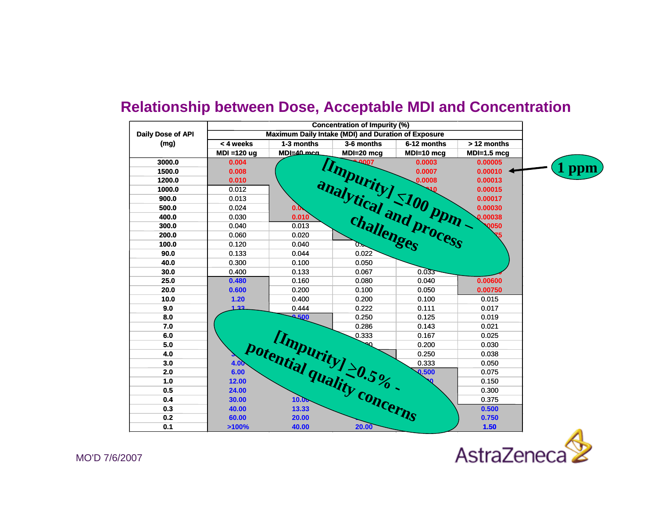

#### **Relationship between Dose, Acceptable MDI and Concentration**

AstraZeneca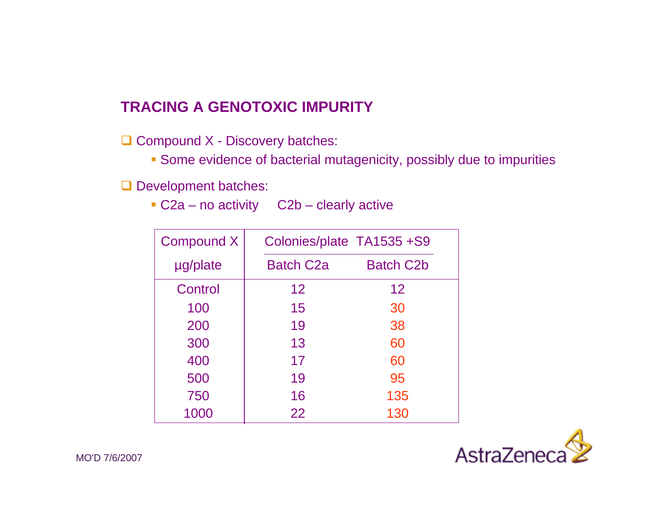# **TRACING A GENOTOXIC IMPURITY**

 $\Box$  Compound X - Discovery batches:

Some evidence of bacterial mutagenicity, possibly due to impurities

**Q** Development batches:

■ C2a – no activity C2b – clearly active

| Compound X | Colonies/plate TA1535 +S9 |                  |
|------------|---------------------------|------------------|
| µg/plate   | <b>Batch C2a</b>          | <b>Batch C2b</b> |
| Control    | 12                        | 12               |
| 100        | 15                        | 30               |
| 200        | 19                        | 38               |
| 300        | 13                        | 60               |
| 400        | 17                        | 60               |
| 500        | 19                        | 95               |
| 750        | 16                        | 135              |
| 1000       | 22                        | 130              |

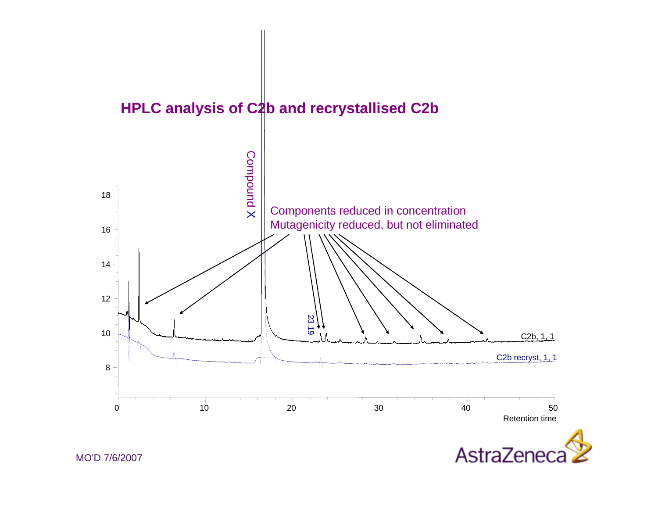

MO'D 7/6/2007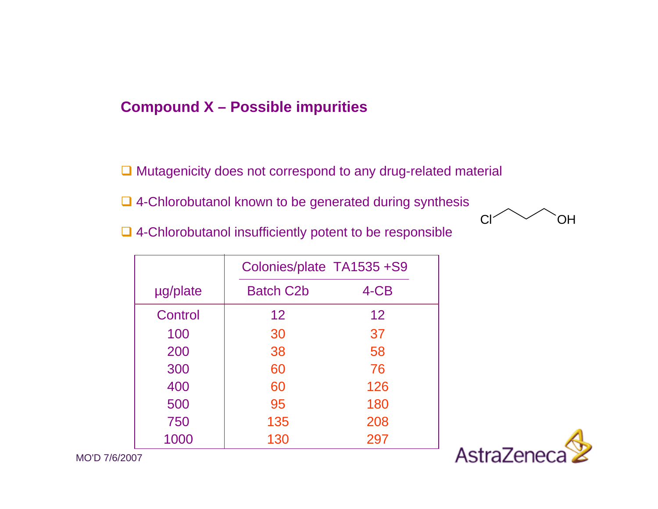### **Compound X – Possible impurities**

- **□ Mutagenicity does not correspond to any drug-related material**
- **□ 4-Chlorobutanol known to be generated during synthesis**
- **□ 4-Chlorobutanol insufficiently potent to be responsible**

|          | Colonies/plate TA1535 +S9 |      |
|----------|---------------------------|------|
| µg/plate | <b>Batch C2b</b>          | 4-CB |
| Control  | 12 <sup>2</sup>           | 12   |
| 100      | 30                        | 37   |
| 200      | 38                        | 58   |
| 300      | 60                        | 76   |
| 400      | 60                        | 126  |
| 500      | 95                        | 180  |
| 750      | 135                       | 208  |
| 1000     | 130                       | 297  |



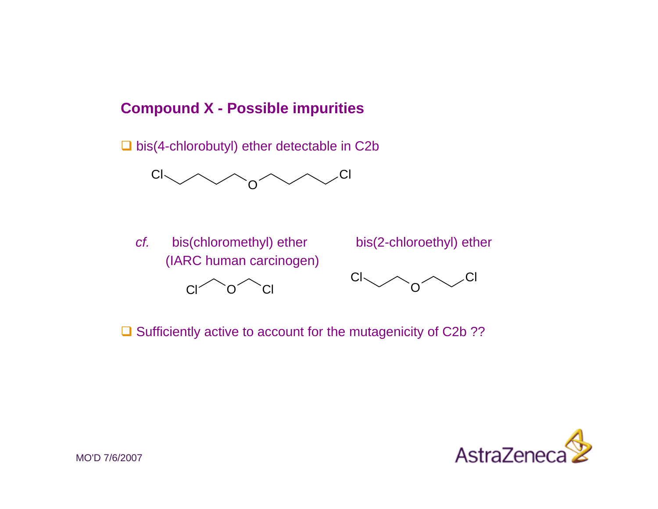### **Compound X - Possible impurities**

 $\Box$  bis(4-chlorobutyl) ether detectable in C2b



*cf.*(IARC human carcinogen)







 $\Box$  Sufficiently active to account for the mutagenicity of C2b ??

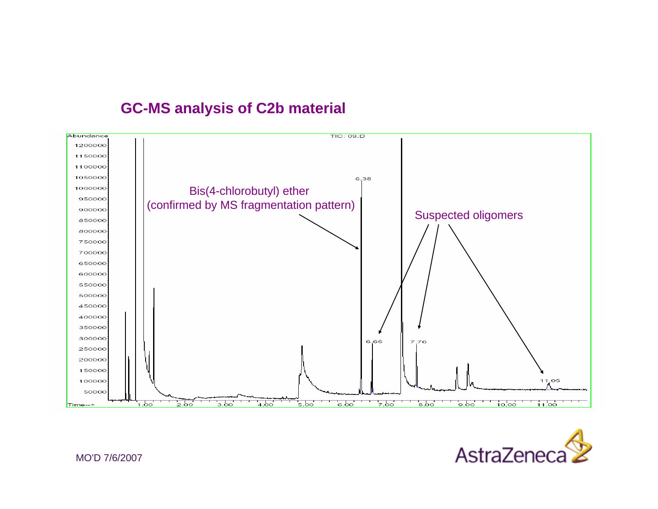### **GC-MS analysis of C2b material**





MO'D 7/6/2007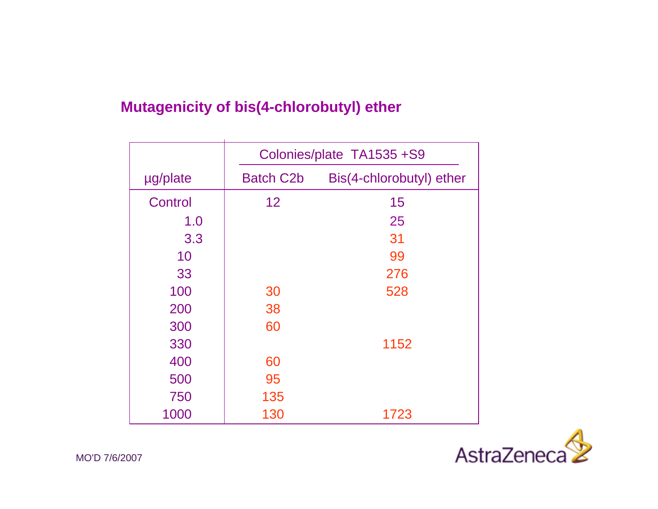# **Mutagenicity of bis(4-chlorobutyl) ether**

|          | Colonies/plate TA1535 +S9 |                          |  |  |  |  |  |
|----------|---------------------------|--------------------------|--|--|--|--|--|
| µg/plate | <b>Batch C2b</b>          | Bis(4-chlorobutyl) ether |  |  |  |  |  |
| Control  | 12                        | 15                       |  |  |  |  |  |
| 1.0      |                           | 25                       |  |  |  |  |  |
| 3.3      |                           | 31                       |  |  |  |  |  |
| 10       |                           | 99                       |  |  |  |  |  |
| 33       |                           | 276                      |  |  |  |  |  |
| 100      | 30                        | 528                      |  |  |  |  |  |
| 200      | 38                        |                          |  |  |  |  |  |
| 300      | 60                        |                          |  |  |  |  |  |
| 330      |                           | 1152                     |  |  |  |  |  |
| 400      | 60                        |                          |  |  |  |  |  |
| 500      | 95                        |                          |  |  |  |  |  |
| 750      | 135                       |                          |  |  |  |  |  |
| 1000     | 130                       | 1723                     |  |  |  |  |  |

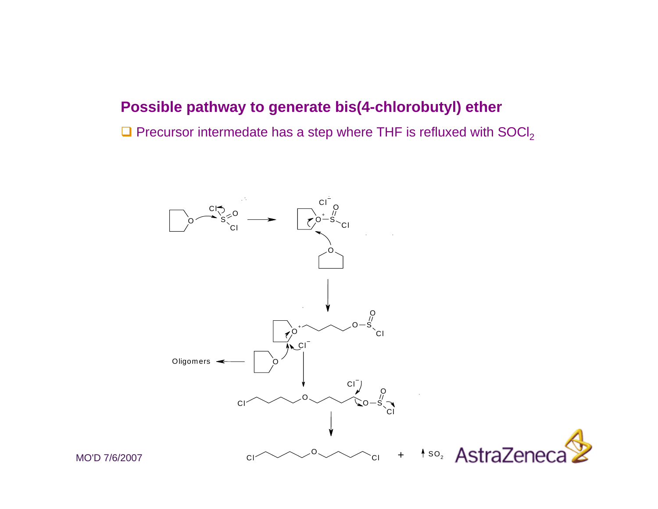### **Possible pathway to generate bis(4-chlorobutyl) ether**

 $\square$  Precursor intermedate has a step where THF is refluxed with SOCI<sub>2</sub>



MO'D 7/6/2007